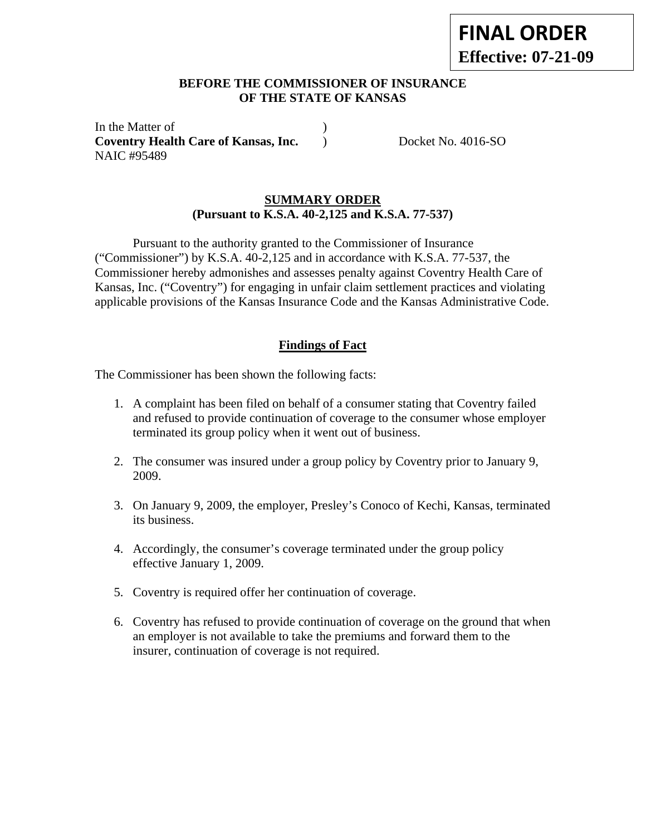# **BEFORE THE COMMISSIONER OF INSURANCE OF THE STATE OF KANSAS**

In the Matter of  $\qquad \qquad$  ) **Coventry Health Care of Kansas, Inc.** ) Docket No. 4016-SO NAIC #95489

### **SUMMARY ORDER (Pursuant to K.S.A. 40-2,125 and K.S.A. 77-537)**

Pursuant to the authority granted to the Commissioner of Insurance ("Commissioner") by K.S.A. 40-2,125 and in accordance with K.S.A. 77-537, the Commissioner hereby admonishes and assesses penalty against Coventry Health Care of Kansas, Inc. ("Coventry") for engaging in unfair claim settlement practices and violating applicable provisions of the Kansas Insurance Code and the Kansas Administrative Code.

# **Findings of Fact**

The Commissioner has been shown the following facts:

- 1. A complaint has been filed on behalf of a consumer stating that Coventry failed and refused to provide continuation of coverage to the consumer whose employer terminated its group policy when it went out of business.
- 2. The consumer was insured under a group policy by Coventry prior to January 9, 2009.
- 3. On January 9, 2009, the employer, Presley's Conoco of Kechi, Kansas, terminated its business.
- 4. Accordingly, the consumer's coverage terminated under the group policy effective January 1, 2009.
- 5. Coventry is required offer her continuation of coverage.
- 6. Coventry has refused to provide continuation of coverage on the ground that when an employer is not available to take the premiums and forward them to the insurer, continuation of coverage is not required.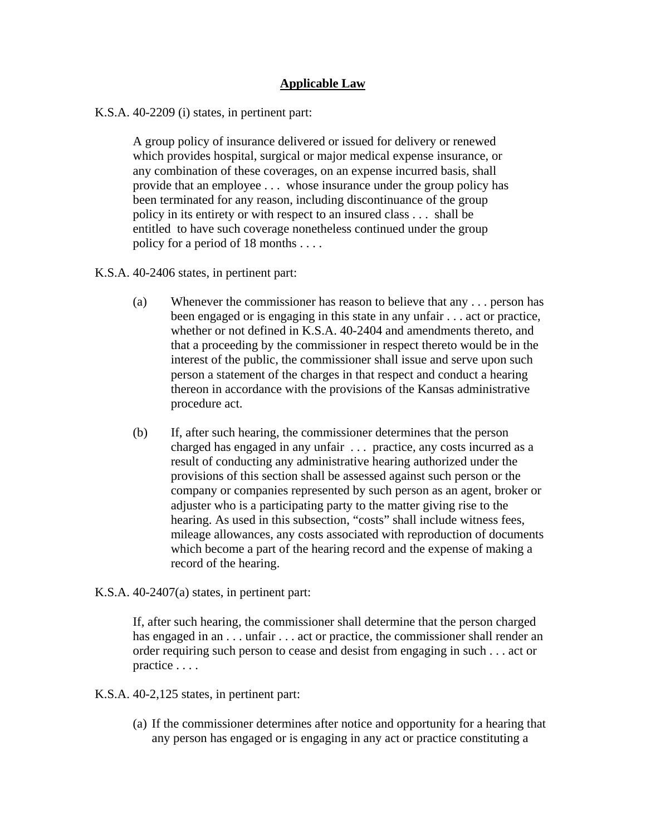# **Applicable Law**

K.S.A. 40-2209 (i) states, in pertinent part:

A group policy of insurance delivered or issued for delivery or renewed which provides hospital, surgical or major medical expense insurance, or any combination of these coverages, on an expense incurred basis, shall provide that an employee . . . whose insurance under the group policy has been terminated for any reason, including discontinuance of the group policy in its entirety or with respect to an insured class . . . shall be entitled to have such coverage nonetheless continued under the group policy for a period of 18 months . . . .

K.S.A. 40-2406 states, in pertinent part:

- (a) Whenever the commissioner has reason to believe that any . . . person has been engaged or is engaging in this state in any unfair . . . act or practice, whether or not defined in K.S.A. 40-2404 and amendments thereto, and that a proceeding by the commissioner in respect thereto would be in the interest of the public, the commissioner shall issue and serve upon such person a statement of the charges in that respect and conduct a hearing thereon in accordance with the provisions of the Kansas administrative procedure act.
- (b) If, after such hearing, the commissioner determines that the person charged has engaged in any unfair . . . practice, any costs incurred as a result of conducting any administrative hearing authorized under the provisions of this section shall be assessed against such person or the company or companies represented by such person as an agent, broker or adjuster who is a participating party to the matter giving rise to the hearing. As used in this subsection, "costs" shall include witness fees, mileage allowances, any costs associated with reproduction of documents which become a part of the hearing record and the expense of making a record of the hearing.

#### K.S.A. 40-2407(a) states, in pertinent part:

If, after such hearing, the commissioner shall determine that the person charged has engaged in an . . . unfair . . . act or practice, the commissioner shall render an order requiring such person to cease and desist from engaging in such . . . act or practice . . . .

K.S.A. 40-2,125 states, in pertinent part:

(a) If the commissioner determines after notice and opportunity for a hearing that any person has engaged or is engaging in any act or practice constituting a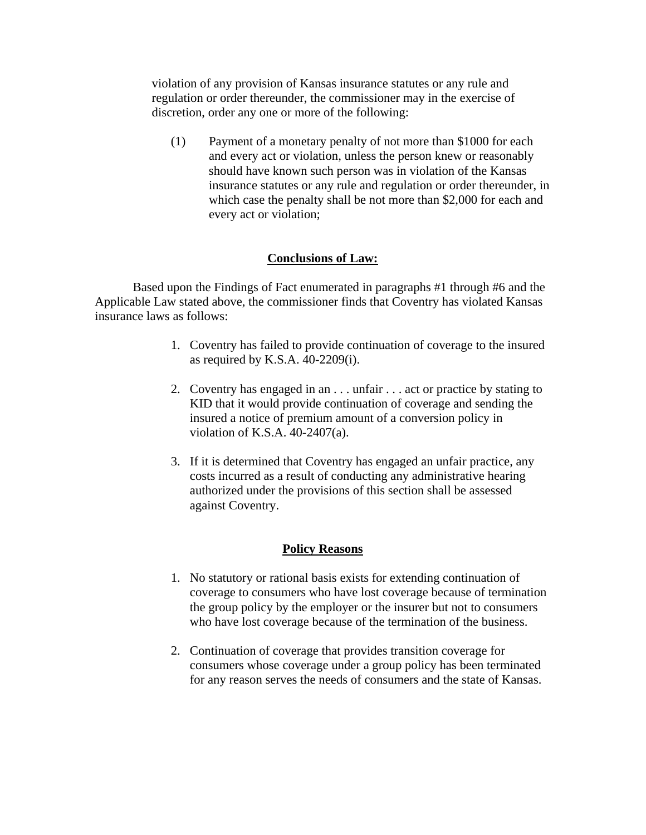violation of any provision of Kansas insurance statutes or any rule and regulation or order thereunder, the commissioner may in the exercise of discretion, order any one or more of the following:

(1) Payment of a monetary penalty of not more than \$1000 for each and every act or violation, unless the person knew or reasonably should have known such person was in violation of the Kansas insurance statutes or any rule and regulation or order thereunder, in which case the penalty shall be not more than \$2,000 for each and every act or violation;

### **Conclusions of Law:**

Based upon the Findings of Fact enumerated in paragraphs #1 through #6 and the Applicable Law stated above, the commissioner finds that Coventry has violated Kansas insurance laws as follows:

- 1. Coventry has failed to provide continuation of coverage to the insured as required by K.S.A. 40-2209(i).
- 2. Coventry has engaged in an . . . unfair . . . act or practice by stating to KID that it would provide continuation of coverage and sending the insured a notice of premium amount of a conversion policy in violation of K.S.A. 40-2407(a).
- 3. If it is determined that Coventry has engaged an unfair practice, any costs incurred as a result of conducting any administrative hearing authorized under the provisions of this section shall be assessed against Coventry.

#### **Policy Reasons**

- 1. No statutory or rational basis exists for extending continuation of coverage to consumers who have lost coverage because of termination the group policy by the employer or the insurer but not to consumers who have lost coverage because of the termination of the business.
- 2. Continuation of coverage that provides transition coverage for consumers whose coverage under a group policy has been terminated for any reason serves the needs of consumers and the state of Kansas.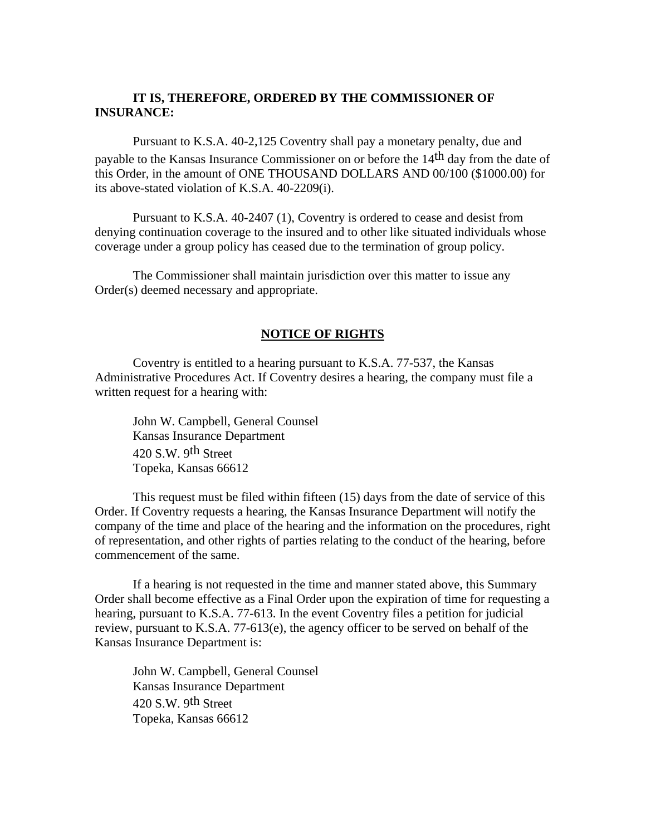### **IT IS, THEREFORE, ORDERED BY THE COMMISSIONER OF INSURANCE:**

Pursuant to K.S.A. 40-2,125 Coventry shall pay a monetary penalty, due and payable to the Kansas Insurance Commissioner on or before the 14<sup>th</sup> day from the date of this Order, in the amount of ONE THOUSAND DOLLARS AND 00/100 (\$1000.00) for its above-stated violation of K.S.A. 40-2209(i).

Pursuant to K.S.A. 40-2407 (1), Coventry is ordered to cease and desist from denying continuation coverage to the insured and to other like situated individuals whose coverage under a group policy has ceased due to the termination of group policy.

The Commissioner shall maintain jurisdiction over this matter to issue any Order(s) deemed necessary and appropriate.

#### **NOTICE OF RIGHTS**

Coventry is entitled to a hearing pursuant to K.S.A. 77-537, the Kansas Administrative Procedures Act. If Coventry desires a hearing, the company must file a written request for a hearing with:

 John W. Campbell, General Counsel Kansas Insurance Department 420 S.W. 9th Street Topeka, Kansas 66612

This request must be filed within fifteen (15) days from the date of service of this Order. If Coventry requests a hearing, the Kansas Insurance Department will notify the company of the time and place of the hearing and the information on the procedures, right of representation, and other rights of parties relating to the conduct of the hearing, before commencement of the same.

If a hearing is not requested in the time and manner stated above, this Summary Order shall become effective as a Final Order upon the expiration of time for requesting a hearing, pursuant to K.S.A. 77-613. In the event Coventry files a petition for judicial review, pursuant to K.S.A. 77-613(e), the agency officer to be served on behalf of the Kansas Insurance Department is:

 John W. Campbell, General Counsel Kansas Insurance Department 420 S.W. 9th Street Topeka, Kansas 66612